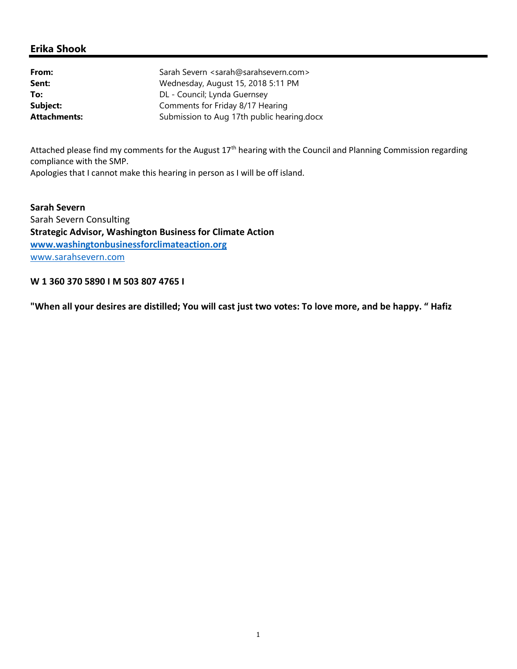## Erika Shook

| From:               | Sarah Severn <sarah@sarahsevern.com></sarah@sarahsevern.com> |
|---------------------|--------------------------------------------------------------|
| Sent:               | Wednesday, August 15, 2018 5:11 PM                           |
| To:                 | DL - Council; Lynda Guernsey                                 |
| Subject:            | Comments for Friday 8/17 Hearing                             |
| <b>Attachments:</b> | Submission to Aug 17th public hearing.docx                   |

Attached please find my comments for the August 17<sup>th</sup> hearing with the Council and Planning Commission regarding compliance with the SMP.

Apologies that I cannot make this hearing in person as I will be off island.

Sarah Severn Sarah Severn Consulting Strategic Advisor, Washington Business for Climate Action www.washingtonbusinessforclimateaction.org www.sarahsevern.com

W 1 360 370 5890 I M 503 807 4765 I

"When all your desires are distilled; You will cast just two votes: To love more, and be happy. " Hafiz